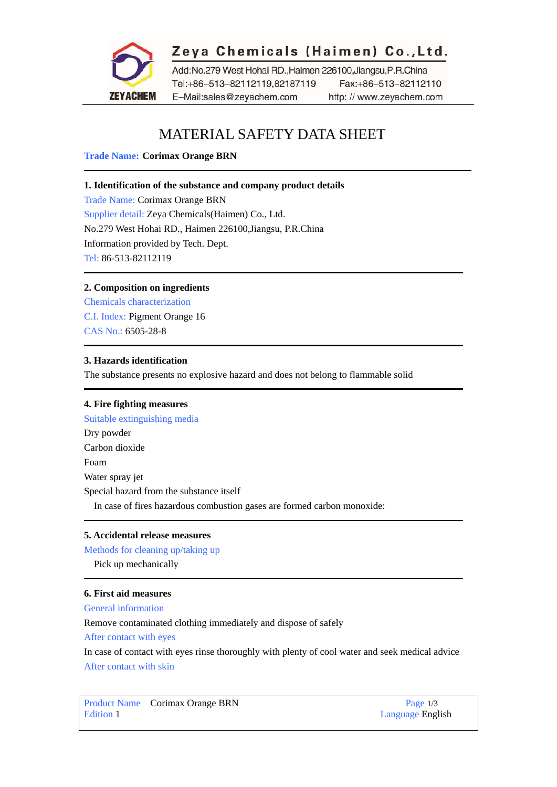

# Zeya Chemicals (Haimen) Co., Ltd.

Add:No.279 West Hohai RD.,Haimen 226100,Jiangsu,P.R.China Tel:+86-513-82112119,82187119 Fax:+86-513-82112110 E-Mail:sales@zeyachem.com http://www.zeyachem.com

# MATERIAL SAFETY DATA SHEET

**Trade Name: Corimax Orange BRN** 

# **1. Identification of the substance and company product details**

Trade Name: Corimax Orange BRN Supplier detail: Zeya Chemicals(Haimen) Co., Ltd. No.279 West Hohai RD., Haimen 226100,Jiangsu, P.R.China Information provided by Tech. Dept. Tel: 86-513-82112119

# **2. Composition on ingredients**

Chemicals characterization C.I. Index: [Pigment Orange 16](https://www.zeyachem.net/pigment-orange-16.html)  CAS No.: 6505-28-8

# **3. Hazards identification**

The substance presents no explosive hazard and does not belong to flammable solid

# **4. Fire fighting measures**

Suitable extinguishing media Dry powder Carbon dioxide Foam Water spray jet Special hazard from the substance itself In case of fires hazardous combustion gases are formed carbon monoxide:

# **5. Accidental release measures**

Methods for cleaning up/taking up

Pick up mechanically

# **6. First aid measures**

General information

Remove contaminated clothing immediately and dispose of safely

After contact with eyes

In case of contact with eyes rinse thoroughly with plenty of cool water and seek medical advice After contact with skin

Product Name Corimax Orange BRN Page 1/3 Edition 1 Language English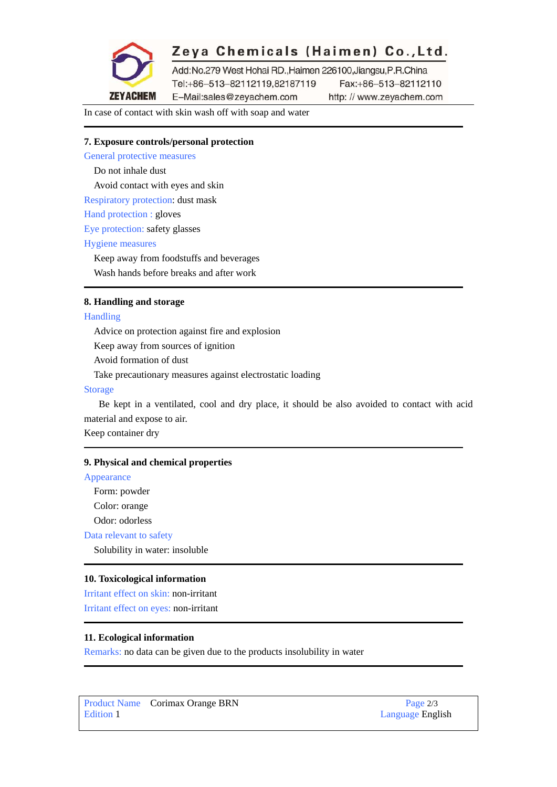

# Zeya Chemicals (Haimen) Co., Ltd.

Add:No.279 West Hohai RD.,Haimen 226100,Jiangsu,P.R.China Tel:+86-513-82112119,82187119 Fax:+86-513-82112110

E-Mail:sales@zeyachem.com http://www.zeyachem.com

In case of contact with skin wash off with soap and water

# **7. Exposure controls/personal protection**

General protective measures

Do not inhale dust

Avoid contact with eyes and skin

Respiratory protection: dust mask

Hand protection : gloves

Eye protection: safety glasses

#### Hygiene measures

Keep away from foodstuffs and beverages

Wash hands before breaks and after work

### **8. Handling and storage**

#### Handling

Advice on protection against fire and explosion

Keep away from sources of ignition

Avoid formation of dust

Take precautionary measures against electrostatic loading

#### Storage

Be kept in a ventilated, cool and dry place, it should be also avoided to contact with acid material and expose to air.

Keep container dry

#### **9. Physical and chemical properties**

### Appearance

Form: powder

Color: orange

Odor: odorless

Data relevant to safety

Solubility in water: insoluble

#### **10. Toxicological information**

Irritant effect on skin: non-irritant Irritant effect on eyes: non-irritant

#### **11. Ecological information**

Remarks: no data can be given due to the products insolubility in water